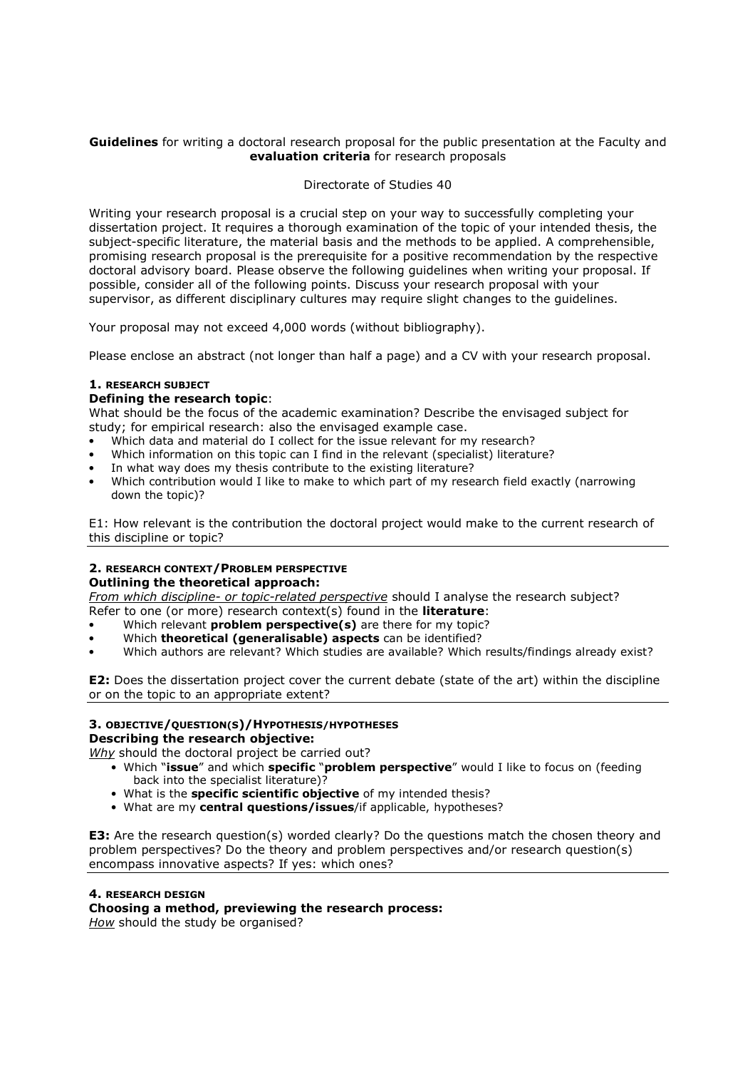## **Guidelines** for writing a doctoral research proposal for the public presentation at the Faculty and evaluation criteria for research proposals

# Directorate of Studies 40

Writing your research proposal is a crucial step on your way to successfully completing your dissertation project. It requires a thorough examination of the topic of your intended thesis, the subject-specific literature, the material basis and the methods to be applied. A comprehensible, promising research proposal is the prerequisite for a positive recommendation by the respective doctoral advisory board. Please observe the following guidelines when writing your proposal. If possible, consider all of the following points. Discuss your research proposal with your supervisor, as different disciplinary cultures may require slight changes to the guidelines.

Your proposal may not exceed 4,000 words (without bibliography).

Please enclose an abstract (not longer than half a page) and a CV with your research proposal.

## 1. RESEARCH SUBJECT

## Defining the research topic:

What should be the focus of the academic examination? Describe the envisaged subject for study; for empirical research: also the envisaged example case.

- Which data and material do I collect for the issue relevant for my research?
- Which information on this topic can I find in the relevant (specialist) literature?
- In what way does my thesis contribute to the existing literature?
- Which contribution would I like to make to which part of my research field exactly (narrowing down the topic)?

E1: How relevant is the contribution the doctoral project would make to the current research of this discipline or topic?

## 2. RESEARCH CONTEXT/PROBLEM PERSPECTIVE

## Outlining the theoretical approach:

From which discipline- or topic-related perspective should I analyse the research subject?

Refer to one (or more) research context(s) found in the **literature**:

- Which relevant **problem perspective(s)** are there for my topic?
- Which theoretical (generalisable) aspects can be identified?
- Which authors are relevant? Which studies are available? Which results/findings already exist?

E2: Does the dissertation project cover the current debate (state of the art) within the discipline or on the topic to an appropriate extent?

# 3. OBJECTIVE/QUESTION(S)/HYPOTHESIS/HYPOTHESES

Describing the research objective:

Why should the doctoral project be carried out?

- Which "issue" and which specific "problem perspective" would I like to focus on (feeding back into the specialist literature)?
- What is the **specific scientific objective** of my intended thesis?
- What are my central questions/issues/if applicable, hypotheses?

**E3:** Are the research question(s) worded clearly? Do the questions match the chosen theory and problem perspectives? Do the theory and problem perspectives and/or research question(s) encompass innovative aspects? If yes: which ones?

# 4. RESEARCH DESIGN

# Choosing a method, previewing the research process:

How should the study be organised?